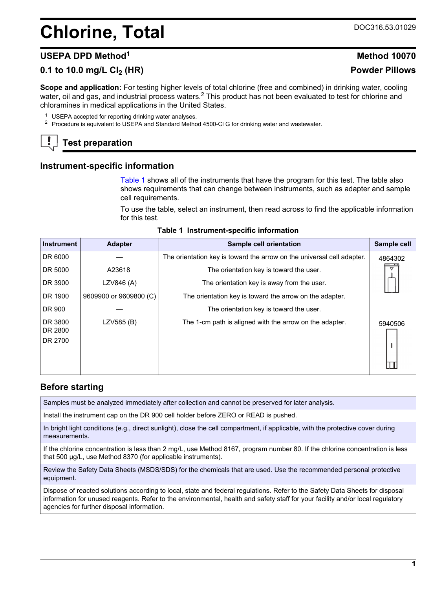# <span id="page-0-0"></span>**Chlorine, Total** DOC316.53.01029

## **USEPA DPD Method<sup>1</sup> Method 10070**

# **0.1 to 10.0 mg/L Cl2 (HR) Powder Pillows**

**Scope and application:** For testing higher levels of total chlorine (free and combined) in drinking water, cooling water, oil and gas, and industrial process waters.<sup>2</sup> This product has not been evaluated to test for chlorine and chloramines in medical applications in the United States.

<sup>1</sup> USEPA accepted for reporting drinking water analyses.

<sup>2</sup> Procedure is equivalent to USEPA and Standard Method 4500-Cl G for drinking water and wastewater.

# **Test preparation**

### **Instrument-specific information**

Table 1 shows all of the instruments that have the program for this test. The table also shows requirements that can change between instruments, such as adapter and sample cell requirements.

To use the table, select an instrument, then read across to find the applicable information for this test.

| <b>Instrument</b>             | <b>Adapter</b>         | Sample cell orientation                                                | Sample cell     |
|-------------------------------|------------------------|------------------------------------------------------------------------|-----------------|
| DR 6000                       |                        | The orientation key is toward the arrow on the universal cell adapter. | 4864302         |
| DR 5000                       | A23618                 | The orientation key is toward the user.                                | $\triangledown$ |
| DR 3900                       | LZV846 (A)             | The orientation key is away from the user.                             |                 |
| DR 1900                       | 9609900 or 9609800 (C) | The orientation key is toward the arrow on the adapter.                |                 |
| DR 900                        |                        | The orientation key is toward the user.                                |                 |
| DR 3800<br>DR 2800<br>DR 2700 | LZV585 (B)             | The 1-cm path is aligned with the arrow on the adapter.                | 5940506         |

### **Table 1 Instrument-specific information**

### **Before starting**

Samples must be analyzed immediately after collection and cannot be preserved for later analysis.

Install the instrument cap on the DR 900 cell holder before ZERO or READ is pushed.

In bright light conditions (e.g., direct sunlight), close the cell compartment, if applicable, with the protective cover during measurements.

If the chlorine concentration is less than 2 mg/L, use Method 8167, program number 80. If the chlorine concentration is less that 500 µg/L, use Method 8370 (for applicable instruments).

Review the Safety Data Sheets (MSDS/SDS) for the chemicals that are used. Use the recommended personal protective equipment.

Dispose of reacted solutions according to local, state and federal regulations. Refer to the Safety Data Sheets for disposal information for unused reagents. Refer to the environmental, health and safety staff for your facility and/or local regulatory agencies for further disposal information.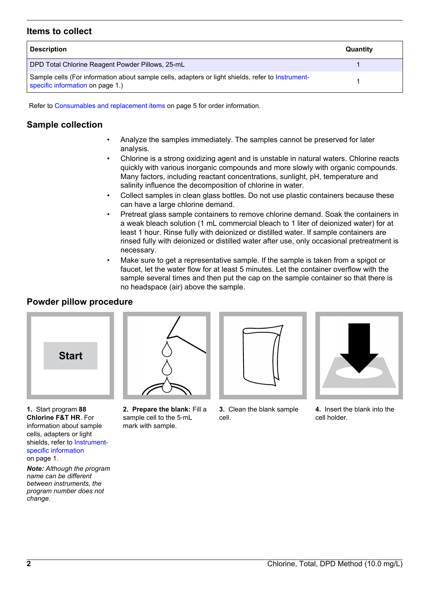### **Items to collect**

| <b>Description</b>                                                                                                                    | Quantity |
|---------------------------------------------------------------------------------------------------------------------------------------|----------|
| DPD Total Chlorine Reagent Powder Pillows, 25-mL                                                                                      |          |
| Sample cells (For information about sample cells, adapters or light shields, refer to Instrument-<br>specific information on page 1.) |          |

Refer to [Consumables and replacement items](#page-4-0) on page 5 for order information.

# **Sample collection**

- Analyze the samples immediately. The samples cannot be preserved for later analysis.
- Chlorine is a strong oxidizing agent and is unstable in natural waters. Chlorine reacts quickly with various inorganic compounds and more slowly with organic compounds. Many factors, including reactant concentrations, sunlight, pH, temperature and salinity influence the decomposition of chlorine in water.
- Collect samples in clean glass bottles. Do not use plastic containers because these can have a large chlorine demand.
- Pretreat glass sample containers to remove chlorine demand. Soak the containers in a weak bleach solution (1 mL commercial bleach to 1 liter of deionized water) for at least 1 hour. Rinse fully with deionized or distilled water. If sample containers are rinsed fully with deionized or distilled water after use, only occasional pretreatment is necessary.
- Make sure to get a representative sample. If the sample is taken from a spigot or faucet, let the water flow for at least 5 minutes. Let the container overflow with the sample several times and then put the cap on the sample container so that there is no headspace (air) above the sample.

## **Powder pillow procedure**



**1.** Start program **88 Chlorine F&T HR**. For information about sample cells, adapters or light shields, refer to [Instrument](#page-0-0)[specific information](#page-0-0) on page 1.

*Note: Although the program name can be different between instruments, the program number does not change.*



**2. Prepare the blank:** Fill a sample cell to the 5‑mL mark with sample.



**3.** Clean the blank sample cell.



**4.** Insert the blank into the cell holder.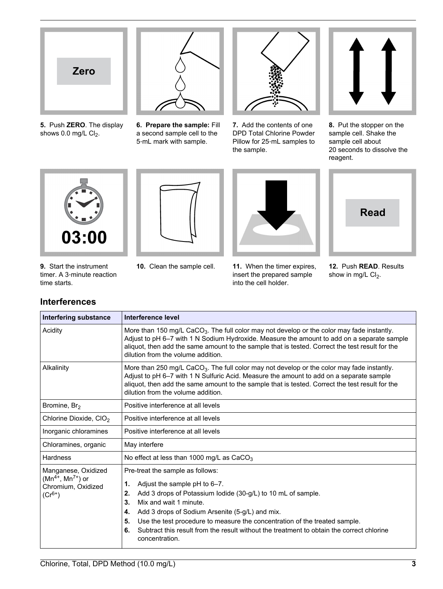

**5.** Push **ZERO**. The display shows  $0.0$  mg/L  $Cl<sub>2</sub>$ .



**6. Prepare the sample:** Fill a second sample cell to the 5‑mL mark with sample.



**7.** Add the contents of one DPD Total Chlorine Powder Pillow for 25‑mL samples to the sample.



**8.** Put the stopper on the sample cell. Shake the sample cell about 20 seconds to dissolve the reagent.



**9.** Start the instrument timer. A 3‑minute reaction time starts.

**Interferences**



**10.** Clean the sample cell. **11.** When the timer expires, insert the prepared sample into the cell holder.



**12.** Push **READ**. Results show in mg/L Cl<sub>2</sub>.

| Interfering substance                                                                                                                                                                                                                                                                                                                                    | Interference level                                                                                                                                                                                                                                                                                                                                                                                                                             |  |  |
|----------------------------------------------------------------------------------------------------------------------------------------------------------------------------------------------------------------------------------------------------------------------------------------------------------------------------------------------------------|------------------------------------------------------------------------------------------------------------------------------------------------------------------------------------------------------------------------------------------------------------------------------------------------------------------------------------------------------------------------------------------------------------------------------------------------|--|--|
| Acidity                                                                                                                                                                                                                                                                                                                                                  | More than 150 mg/L CaCO <sub>3</sub> . The full color may not develop or the color may fade instantly.<br>Adjust to pH 6-7 with 1 N Sodium Hydroxide. Measure the amount to add on a separate sample<br>aliquot, then add the same amount to the sample that is tested. Correct the test result for the<br>dilution from the volume addition.                                                                                                  |  |  |
| More than 250 mg/L CaCO <sub>3</sub> . The full color may not develop or the color may fade instantly.<br>Alkalinity<br>Adjust to pH 6-7 with 1 N Sulfuric Acid. Measure the amount to add on a separate sample<br>aliquot, then add the same amount to the sample that is tested. Correct the test result for the<br>dilution from the volume addition. |                                                                                                                                                                                                                                                                                                                                                                                                                                                |  |  |
| Bromine, Br <sub>2</sub>                                                                                                                                                                                                                                                                                                                                 | Positive interference at all levels                                                                                                                                                                                                                                                                                                                                                                                                            |  |  |
| Chlorine Dioxide, CIO <sub>2</sub>                                                                                                                                                                                                                                                                                                                       | Positive interference at all levels                                                                                                                                                                                                                                                                                                                                                                                                            |  |  |
| Inorganic chloramines                                                                                                                                                                                                                                                                                                                                    | Positive interference at all levels                                                                                                                                                                                                                                                                                                                                                                                                            |  |  |
| Chloramines, organic                                                                                                                                                                                                                                                                                                                                     | May interfere                                                                                                                                                                                                                                                                                                                                                                                                                                  |  |  |
| Hardness                                                                                                                                                                                                                                                                                                                                                 | No effect at less than 1000 mg/L as $CaCO3$                                                                                                                                                                                                                                                                                                                                                                                                    |  |  |
| Manganese, Oxidized<br>$(Mn^{4+}, Mn^{7+})$ or<br>Chromium, Oxidized<br>$(Cr^{6+})$                                                                                                                                                                                                                                                                      | Pre-treat the sample as follows:<br>Adjust the sample pH to 6-7.<br>1.<br>Add 3 drops of Potassium Iodide (30-g/L) to 10 mL of sample.<br>2.<br>Mix and wait 1 minute.<br>3.<br>Add 3 drops of Sodium Arsenite (5-g/L) and mix.<br>4.<br>Use the test procedure to measure the concentration of the treated sample.<br>5.<br>Subtract this result from the result without the treatment to obtain the correct chlorine<br>6.<br>concentration. |  |  |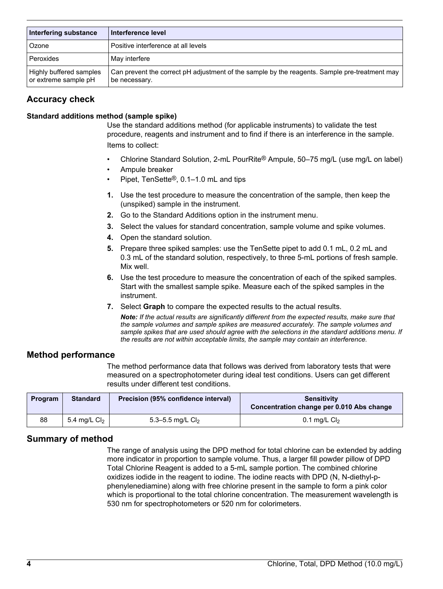| Interfering substance                           | Interference level                                                                                             |
|-------------------------------------------------|----------------------------------------------------------------------------------------------------------------|
| Ozone                                           | Positive interference at all levels                                                                            |
| Peroxides                                       | May interfere                                                                                                  |
| Highly buffered samples<br>or extreme sample pH | Can prevent the correct pH adjustment of the sample by the reagents. Sample pre-treatment may<br>be necessary. |

## **Accuracy check**

### **Standard additions method (sample spike)**

Use the standard additions method (for applicable instruments) to validate the test procedure, reagents and instrument and to find if there is an interference in the sample. Items to collect:

- Chlorine Standard Solution, 2-mL PourRite® Ampule, 50–75 mg/L (use mg/L on label)
- Ampule breaker
- Pipet, TenSette®, 0.1–1.0 mL and tips
- **1.** Use the test procedure to measure the concentration of the sample, then keep the (unspiked) sample in the instrument.
- **2.** Go to the Standard Additions option in the instrument menu.
- **3.** Select the values for standard concentration, sample volume and spike volumes.
- **4.** Open the standard solution.
- **5.** Prepare three spiked samples: use the TenSette pipet to add 0.1 mL, 0.2 mL and 0.3 mL of the standard solution, respectively, to three 5-mL portions of fresh sample. Mix well.
- **6.** Use the test procedure to measure the concentration of each of the spiked samples. Start with the smallest sample spike. Measure each of the spiked samples in the instrument.
- **7.** Select **Graph** to compare the expected results to the actual results.

*Note: If the actual results are significantly different from the expected results, make sure that the sample volumes and sample spikes are measured accurately. The sample volumes and sample spikes that are used should agree with the selections in the standard additions menu. If the results are not within acceptable limits, the sample may contain an interference.*

### **Method performance**

The method performance data that follows was derived from laboratory tests that were measured on a spectrophotometer during ideal test conditions. Users can get different results under different test conditions.

| Program | <b>Standard</b> | Precision (95% confidence interval) | Sensitivity<br>Concentration change per 0.010 Abs change |  |
|---------|-----------------|-------------------------------------|----------------------------------------------------------|--|
| 88      | 5.4 mg/L $Cl2$  | 5.3–5.5 mg/L $Cl_2$                 | 0.1 mg/L $Cl2$                                           |  |

## **Summary of method**

The range of analysis using the DPD method for total chlorine can be extended by adding more indicator in proportion to sample volume. Thus, a larger fill powder pillow of DPD Total Chlorine Reagent is added to a 5-mL sample portion. The combined chlorine oxidizes iodide in the reagent to iodine. The iodine reacts with DPD (N, N-diethyl-pphenylenediamine) along with free chlorine present in the sample to form a pink color which is proportional to the total chlorine concentration. The measurement wavelength is 530 nm for spectrophotometers or 520 nm for colorimeters.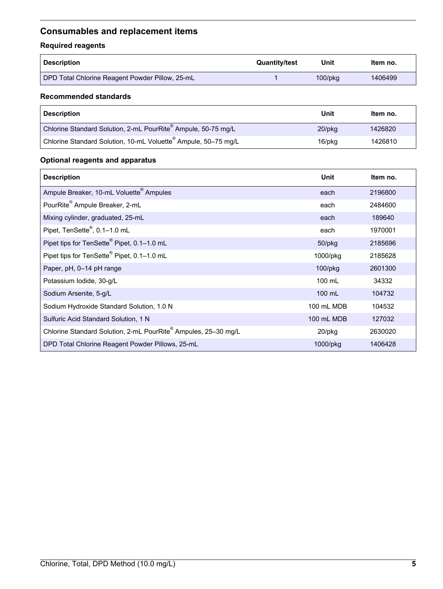# <span id="page-4-0"></span>**Consumables and replacement items**

# **Required reagents**

| <b>Description</b>                              | <b>Quantity/test</b> | Unit          | ltem no. |
|-------------------------------------------------|----------------------|---------------|----------|
| DPD Total Chlorine Reagent Powder Pillow, 25-mL |                      | $100$ /p $kg$ | 1406499  |

### **Recommended standards**

| <b>Description</b>                                                         | Unit      | Item no. |
|----------------------------------------------------------------------------|-----------|----------|
| Chlorine Standard Solution, 2-mL PourRite® Ampule, 50-75 mg/L              | $20$ /pkq | 1426820  |
| $^{\prime}$ Chlorine Standard Solution, 10-mL Voluette® Ampule, 50–75 mg/L | 16/pkg    | 1426810  |

# **Optional reagents and apparatus**

| <b>Description</b>                                             | Unit             | Item no. |
|----------------------------------------------------------------|------------------|----------|
| Ampule Breaker, 10-mL Voluette <sup>®</sup> Ampules            | each             | 2196800  |
| PourRite <sup>®</sup> Ampule Breaker, 2-mL                     | each             | 2484600  |
| Mixing cylinder, graduated, 25-mL                              | each             | 189640   |
| Pipet, TenSette <sup>®</sup> , 0.1-1.0 mL                      | each             | 1970001  |
| Pipet tips for TenSette® Pipet, 0.1-1.0 mL                     | 50/pkg           | 2185696  |
| Pipet tips for TenSette <sup>®</sup> Pipet, 0.1-1.0 mL         | 1000/pkg         | 2185628  |
| Paper, pH, 0-14 pH range                                       | $100$ /p $kg$    | 2601300  |
| Potassium Iodide, 30-g/L                                       | 100 mL           | 34332    |
| Sodium Arsenite, 5-g/L                                         | $100 \text{ mL}$ | 104732   |
| Sodium Hydroxide Standard Solution, 1.0 N                      | 100 mL MDB       | 104532   |
| Sulfuric Acid Standard Solution, 1 N                           | 100 mL MDB       | 127032   |
| Chlorine Standard Solution, 2-mL PourRite® Ampules, 25-30 mg/L | 20/pkg           | 2630020  |
| DPD Total Chlorine Reagent Powder Pillows, 25-mL               | 1000/pkg         | 1406428  |